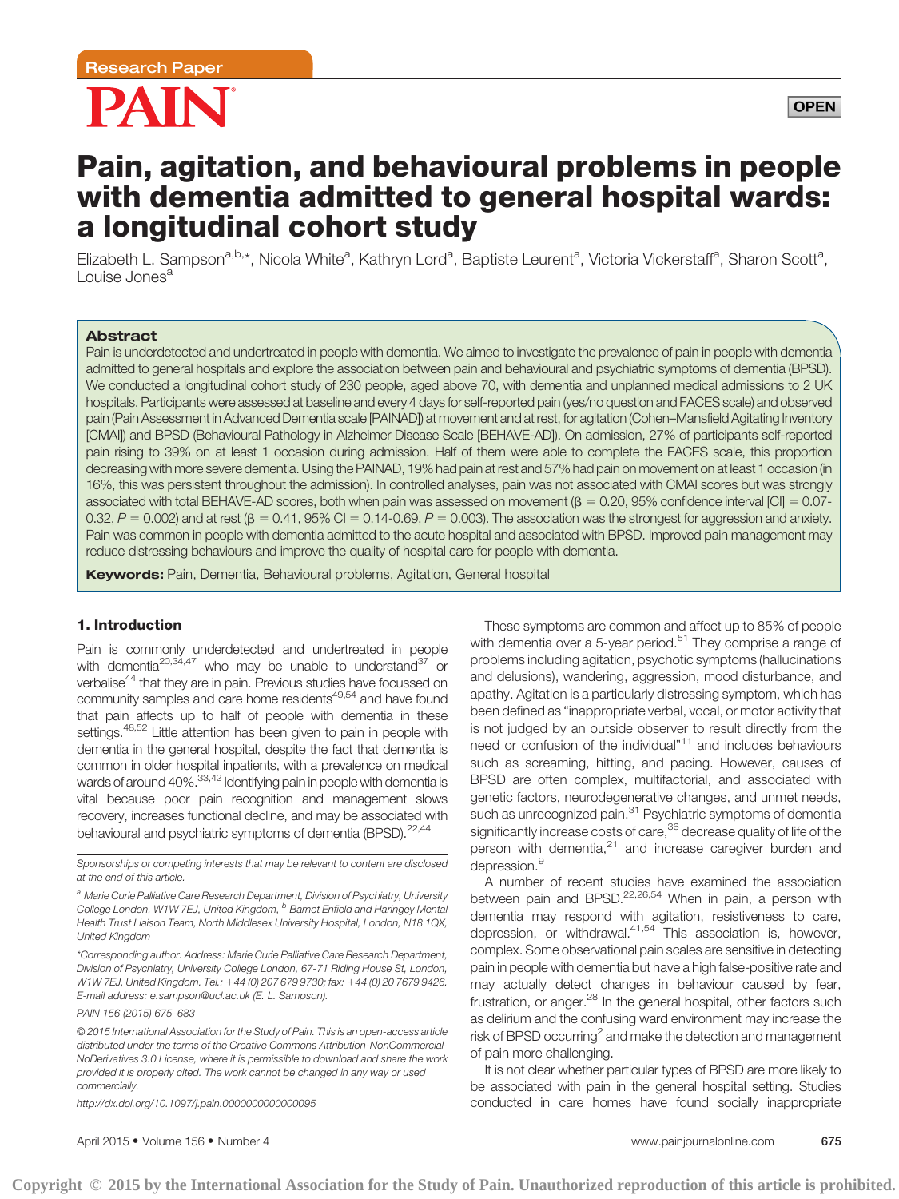



# Pain, agitation, and behavioural problems in people with dementia admitted to general hospital wards: a longitudinal cohort study

Elizabeth L. Sampson<sup>a,b,\*</sup>, Nicola White<sup>a</sup>, Kathryn Lord<sup>a</sup>, Baptiste Leurent<sup>a</sup>, Victoria Vickerstaff<sup>a</sup>, Sharon Scott<sup>a</sup>, Louise Jones<sup>a</sup>

# Abstract

Pain is underdetected and undertreated in people with dementia. We aimed to investigate the prevalence of pain in people with dementia admitted to general hospitals and explore the association between pain and behavioural and psychiatric symptoms of dementia (BPSD). We conducted a longitudinal cohort study of 230 people, aged above 70, with dementia and unplanned medical admissions to 2 UK hospitals. Participants were assessed at baseline and every 4 days for self-reported pain (yes/no question and FACES scale) and observed pain (Pain Assessment in Advanced Dementia scale [PAINAD]) at movement and at rest, for agitation (Cohen–Mansfield Agitating Inventory [CMAI]) and BPSD (Behavioural Pathology in Alzheimer Disease Scale [BEHAVE-AD]). On admission, 27% of participants self-reported pain rising to 39% on at least 1 occasion during admission. Half of them were able to complete the FACES scale, this proportion decreasing with more severe dementia. Using the PAINAD, 19% had pain at rest and 57% had pain on movement on at least 1 occasion (in 16%, this was persistent throughout the admission). In controlled analyses, pain was not associated with CMAI scores but was strongly associated with total BEHAVE-AD scores, both when pain was assessed on movement ( $\beta = 0.20$ , 95% confidence interval [CI] = 0.07-0.32,  $P = 0.002$  and at rest ( $\beta = 0.41$ , 95% CI = 0.14-0.69,  $P = 0.003$ ). The association was the strongest for aggression and anxiety. Pain was common in people with dementia admitted to the acute hospital and associated with BPSD. Improved pain management may reduce distressing behaviours and improve the quality of hospital care for people with dementia.

Keywords: Pain, Dementia, Behavioural problems, Agitation, General hospital

# 1. Introduction

Pain is commonly underdetected and undertreated in people with dementia<sup>20,34,47</sup> who may be unable to understand<sup>37</sup> or verbalise<sup>44</sup> that they are in pain. Previous studies have focussed on community samples and care home residents<sup>49,54</sup> and have found that pain affects up to half of people with dementia in these settings.<sup>48,52</sup> Little attention has been given to pain in people with dementia in the general hospital, despite the fact that dementia is common in older hospital inpatients, with a prevalence on medical wards of around 40%.<sup>33,42</sup> Identifying pain in people with dementia is vital because poor pain recognition and management slows recovery, increases functional decline, and may be associated with behavioural and psychiatric symptoms of dementia (BPSD).<sup>22,44</sup>

Sponsorships or competing interests that may be relevant to content are disclosed at the end of this article.

\*Corresponding author. Address: Marie Curie Palliative Care Research Department, Division of Psychiatry, University College London, 67-71 Riding House St, London, W1W 7EJ, United Kingdom. Tel.: +44 (0) 207 679 9730; fax: +44 (0) 20 7679 9426. E-mail address: e.sampson@ucl.ac.uk (E. L. Sampson).

PAIN 156 (2015) 675–683

http://dx.doi.org/10.1097/j.pain.0000000000000095

These symptoms are common and affect up to 85% of people with dementia over a 5-year period.<sup>51</sup> They comprise a range of problems including agitation, psychotic symptoms (hallucinations and delusions), wandering, aggression, mood disturbance, and apathy. Agitation is a particularly distressing symptom, which has been defined as "inappropriate verbal, vocal, or motor activity that is not judged by an outside observer to result directly from the need or confusion of the individual"<sup>11</sup> and includes behaviours such as screaming, hitting, and pacing. However, causes of BPSD are often complex, multifactorial, and associated with genetic factors, neurodegenerative changes, and unmet needs, such as unrecognized pain.<sup>31</sup> Psychiatric symptoms of dementia significantly increase costs of care, <sup>36</sup> decrease quality of life of the person with dementia, $21$  and increase caregiver burden and depression.<sup>9</sup>

A number of recent studies have examined the association between pain and BPSD.<sup>22,26,54</sup> When in pain, a person with dementia may respond with agitation, resistiveness to care, depression, or withdrawal.41,54 This association is, however, complex. Some observational pain scales are sensitive in detecting pain in people with dementia but have a high false-positive rate and may actually detect changes in behaviour caused by fear, frustration, or anger.<sup>28</sup> In the general hospital, other factors such as delirium and the confusing ward environment may increase the risk of BPSD occurring<sup>2</sup> and make the detection and management of pain more challenging.

It is not clear whether particular types of BPSD are more likely to be associated with pain in the general hospital setting. Studies conducted in care homes have found socially inappropriate

<sup>&</sup>lt;sup>a</sup> Marie Curie Palliative Care Research Department, Division of Psychiatry, University College London, W1W 7EJ, United Kingdom, <sup>b</sup> Barnet Enfield and Haringey Mental Health Trust Liaison Team, North Middlesex University Hospital, London, N18 1QX, United Kingdom

<sup>©</sup> 2015 International Association for the Study of Pain. This is an open-access article distributed under the terms of the Creative Commons Attribution-NonCommercial-NoDerivatives 3.0 License, where it is permissible to download and share the work provided it is properly cited. The work cannot be changed in any way or used commercially.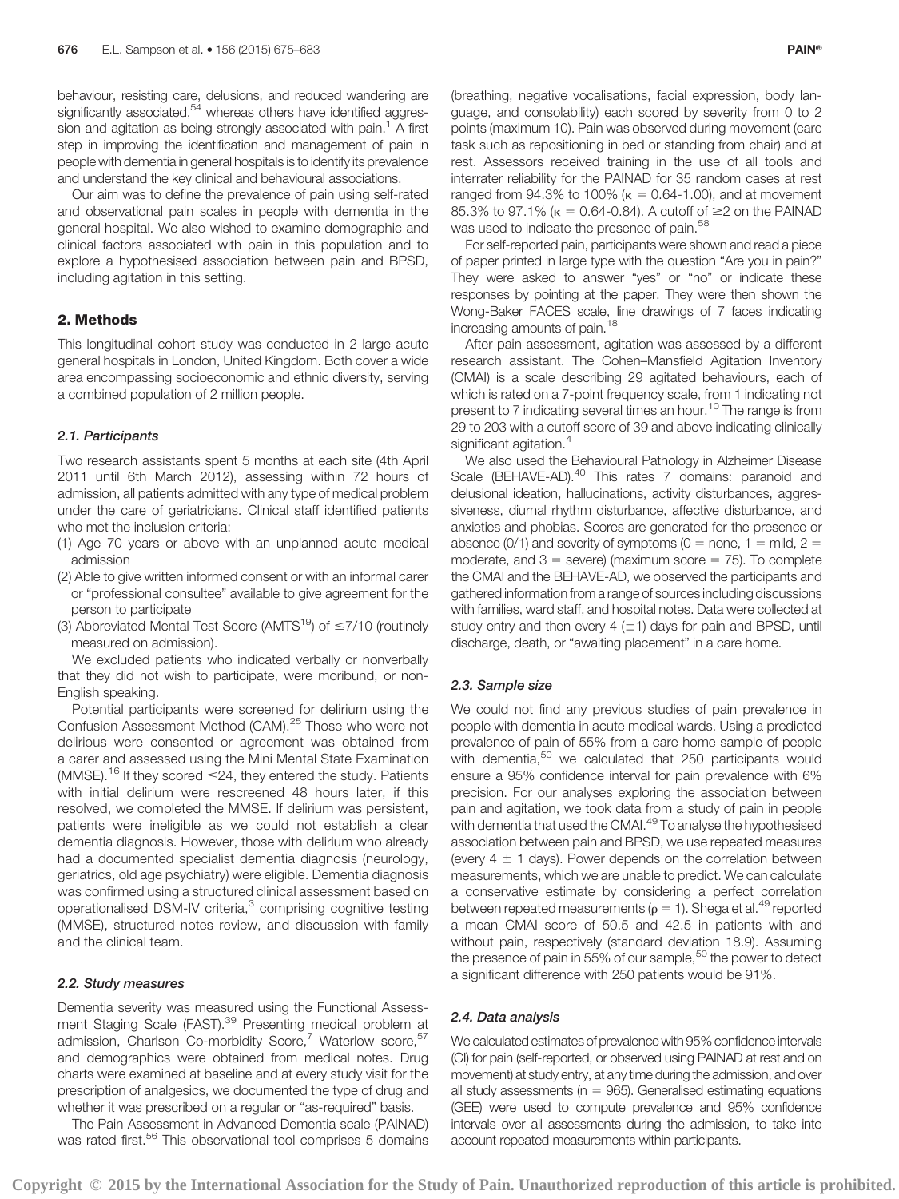behaviour, resisting care, delusions, and reduced wandering are significantly associated,<sup>54</sup> whereas others have identified aggression and agitation as being strongly associated with pain.<sup>1</sup> A first step in improving the identification and management of pain in people with dementia in general hospitals is to identify its prevalence and understand the key clinical and behavioural associations.

Our aim was to define the prevalence of pain using self-rated and observational pain scales in people with dementia in the general hospital. We also wished to examine demographic and clinical factors associated with pain in this population and to explore a hypothesised association between pain and BPSD, including agitation in this setting.

# 2. Methods

This longitudinal cohort study was conducted in 2 large acute general hospitals in London, United Kingdom. Both cover a wide area encompassing socioeconomic and ethnic diversity, serving a combined population of 2 million people.

#### 2.1. Participants

Two research assistants spent 5 months at each site (4th April 2011 until 6th March 2012), assessing within 72 hours of admission, all patients admitted with any type of medical problem under the care of geriatricians. Clinical staff identified patients who met the inclusion criteria:

- (1) Age 70 years or above with an unplanned acute medical admission
- (2) Able to give written informed consent or with an informal carer or "professional consultee" available to give agreement for the person to participate
- (3) Abbreviated Mental Test Score (AMTS<sup>19</sup>) of  $\leq$ 7/10 (routinely measured on admission).

We excluded patients who indicated verbally or nonverbally that they did not wish to participate, were moribund, or non-English speaking.

Potential participants were screened for delirium using the Confusion Assessment Method (CAM).<sup>25</sup> Those who were not delirious were consented or agreement was obtained from a carer and assessed using the Mini Mental State Examination (MMSE).<sup>16</sup> If they scored  $\leq$ 24, they entered the study. Patients with initial delirium were rescreened 48 hours later, if this resolved, we completed the MMSE. If delirium was persistent, patients were ineligible as we could not establish a clear dementia diagnosis. However, those with delirium who already had a documented specialist dementia diagnosis (neurology, geriatrics, old age psychiatry) were eligible. Dementia diagnosis was confirmed using a structured clinical assessment based on operationalised DSM-IV criteria,<sup>3</sup> comprising cognitive testing (MMSE), structured notes review, and discussion with family and the clinical team.

# 2.2. Study measures

Dementia severity was measured using the Functional Assessment Staging Scale (FAST).<sup>39</sup> Presenting medical problem at admission, Charlson Co-morbidity Score, $^7$  Waterlow score, $^{57}$ and demographics were obtained from medical notes. Drug charts were examined at baseline and at every study visit for the prescription of analgesics, we documented the type of drug and whether it was prescribed on a regular or "as-required" basis.

The Pain Assessment in Advanced Dementia scale (PAINAD) was rated first.<sup>56</sup> This observational tool comprises 5 domains

For self-reported pain, participants were shown and read a piece of paper printed in large type with the question "Are you in pain?" They were asked to answer "yes" or "no" or indicate these responses by pointing at the paper. They were then shown the Wong-Baker FACES scale, line drawings of 7 faces indicating increasing amounts of pain.<sup>18</sup>

After pain assessment, agitation was assessed by a different research assistant. The Cohen–Mansfield Agitation Inventory (CMAI) is a scale describing 29 agitated behaviours, each of which is rated on a 7-point frequency scale, from 1 indicating not present to 7 indicating several times an hour.<sup>10</sup> The range is from 29 to 203 with a cutoff score of 39 and above indicating clinically significant agitation.<sup>4</sup>

We also used the Behavioural Pathology in Alzheimer Disease Scale (BEHAVE-AD).<sup>40</sup> This rates 7 domains: paranoid and delusional ideation, hallucinations, activity disturbances, aggressiveness, diurnal rhythm disturbance, affective disturbance, and anxieties and phobias. Scores are generated for the presence or absence (0/1) and severity of symptoms (0 = none, 1 = mild, 2 = moderate, and  $3 =$  severe) (maximum score  $= 75$ ). To complete the CMAI and the BEHAVE-AD, we observed the participants and gathered information from a range of sources including discussions with families, ward staff, and hospital notes. Data were collected at study entry and then every 4  $(\pm 1)$  days for pain and BPSD, until discharge, death, or "awaiting placement" in a care home.

# 2.3. Sample size

We could not find any previous studies of pain prevalence in people with dementia in acute medical wards. Using a predicted prevalence of pain of 55% from a care home sample of people with dementia,<sup>50</sup> we calculated that 250 participants would ensure a 95% confidence interval for pain prevalence with 6% precision. For our analyses exploring the association between pain and agitation, we took data from a study of pain in people with dementia that used the CMAI.<sup>49</sup> To analyse the hypothesised association between pain and BPSD, we use repeated measures (every  $4 \pm 1$  days). Power depends on the correlation between measurements, which we are unable to predict. We can calculate a conservative estimate by considering a perfect correlation between repeated measurements ( $\rho = 1$ ). Shega et al.<sup>49</sup> reported a mean CMAI score of 50.5 and 42.5 in patients with and without pain, respectively (standard deviation 18.9). Assuming the presence of pain in  $55\%$  of our sample,  $50$  the power to detect a significant difference with 250 patients would be 91%.

#### 2.4. Data analysis

We calculated estimates of prevalence with 95% confidence intervals (CI) for pain (self-reported, or observed using PAINAD at rest and on movement) at study entry, at any time during the admission, and over all study assessments ( $n = 965$ ). Generalised estimating equations (GEE) were used to compute prevalence and 95% confidence intervals over all assessments during the admission, to take into account repeated measurements within participants.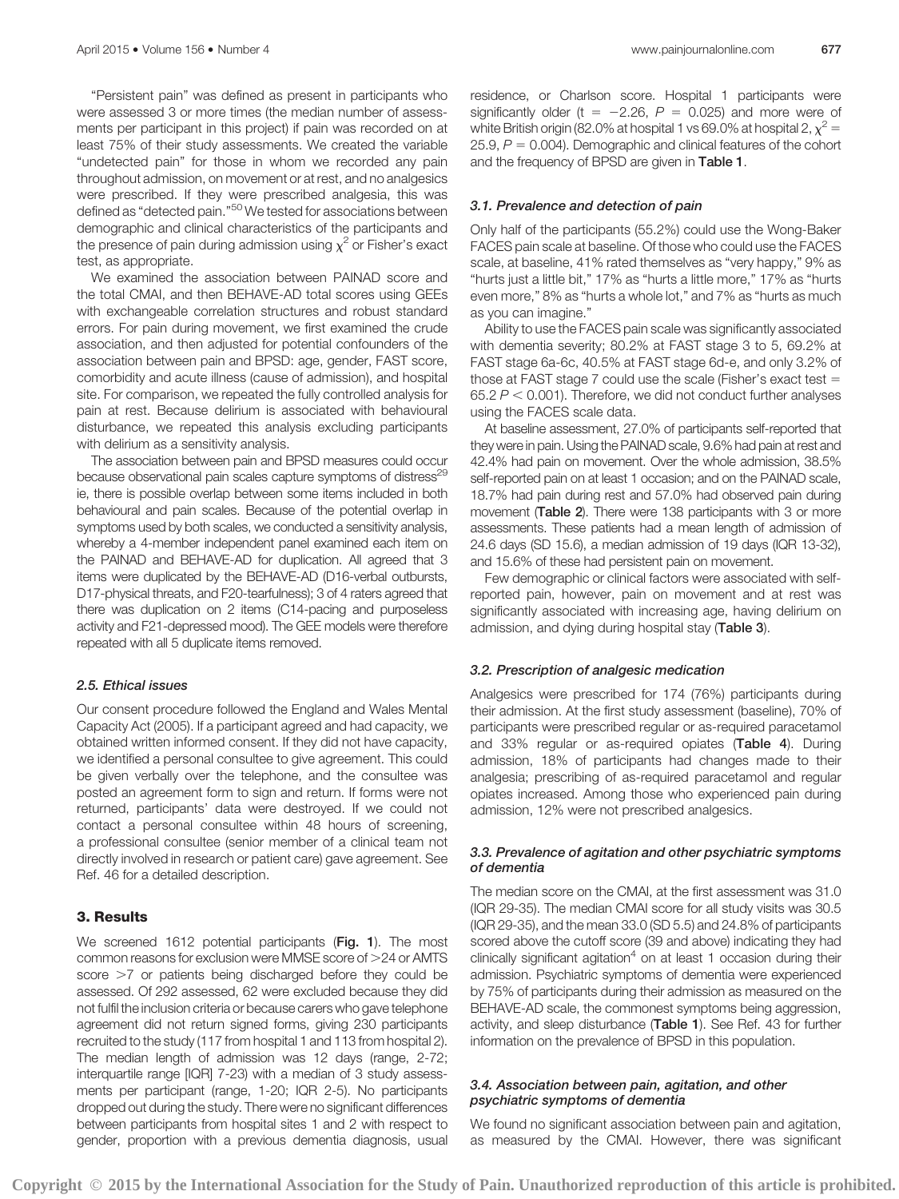"Persistent pain" was defined as present in participants who were assessed 3 or more times (the median number of assessments per participant in this project) if pain was recorded on at least 75% of their study assessments. We created the variable "undetected pain" for those in whom we recorded any pain throughout admission, on movement or at rest, and no analgesics were prescribed. If they were prescribed analgesia, this was defined as "detected pain."<sup>50</sup> We tested for associations between demographic and clinical characteristics of the participants and the presence of pain during admission using  $\chi^2$  or Fisher's exact test, as appropriate.

We examined the association between PAINAD score and the total CMAI, and then BEHAVE-AD total scores using GEEs with exchangeable correlation structures and robust standard errors. For pain during movement, we first examined the crude association, and then adjusted for potential confounders of the association between pain and BPSD: age, gender, FAST score, comorbidity and acute illness (cause of admission), and hospital site. For comparison, we repeated the fully controlled analysis for pain at rest. Because delirium is associated with behavioural disturbance, we repeated this analysis excluding participants with delirium as a sensitivity analysis.

The association between pain and BPSD measures could occur because observational pain scales capture symptoms of distress<sup>29</sup> ie, there is possible overlap between some items included in both behavioural and pain scales. Because of the potential overlap in symptoms used by both scales, we conducted a sensitivity analysis, whereby a 4-member independent panel examined each item on the PAINAD and BEHAVE-AD for duplication. All agreed that 3 items were duplicated by the BEHAVE-AD (D16-verbal outbursts, D17-physical threats, and F20-tearfulness); 3 of 4 raters agreed that there was duplication on 2 items (C14-pacing and purposeless activity and F21-depressed mood). The GEE models were therefore repeated with all 5 duplicate items removed.

#### 2.5. Ethical issues

Our consent procedure followed the England and Wales Mental Capacity Act (2005). If a participant agreed and had capacity, we obtained written informed consent. If they did not have capacity, we identified a personal consultee to give agreement. This could be given verbally over the telephone, and the consultee was posted an agreement form to sign and return. If forms were not returned, participants' data were destroyed. If we could not contact a personal consultee within 48 hours of screening, a professional consultee (senior member of a clinical team not directly involved in research or patient care) gave agreement. See Ref. 46 for a detailed description.

# 3. Results

We screened 1612 potential participants (Fig. 1). The most common reasons for exclusion were MMSE score of >24 or AMTS score  $>7$  or patients being discharged before they could be assessed. Of 292 assessed, 62 were excluded because they did not fulfil the inclusion criteria or because carers who gave telephone agreement did not return signed forms, giving 230 participants recruited to the study (117 from hospital 1 and 113 from hospital 2). The median length of admission was 12 days (range, 2-72; interquartile range [IQR] 7-23) with a median of 3 study assessments per participant (range, 1-20; IQR 2-5). No participants dropped out during the study. There were no significant differences between participants from hospital sites 1 and 2 with respect to gender, proportion with a previous dementia diagnosis, usual residence, or Charlson score. Hospital 1 participants were significantly older (t =  $-2.26$ ,  $P = 0.025$ ) and more were of white British origin (82.0% at hospital 1 vs 69.0% at hospital 2,  $\chi^2$  = 25.9,  $P = 0.004$ ). Demographic and clinical features of the cohort and the frequency of BPSD are given in Table 1.

# 3.1. Prevalence and detection of pain

Only half of the participants (55.2%) could use the Wong-Baker FACES pain scale at baseline. Of those who could use the FACES scale, at baseline, 41% rated themselves as "very happy," 9% as "hurts just a little bit," 17% as "hurts a little more," 17% as "hurts even more," 8% as "hurts a whole lot," and 7% as "hurts as much as you can imagine."

Ability to use the FACES pain scale was significantly associated with dementia severity; 80.2% at FAST stage 3 to 5, 69.2% at FAST stage 6a-6c, 40.5% at FAST stage 6d-e, and only 3.2% of those at FAST stage 7 could use the scale (Fisher's exact test  $=$  $65.2 P < 0.001$ ). Therefore, we did not conduct further analyses using the FACES scale data.

At baseline assessment, 27.0% of participants self-reported that they were in pain. Using the PAINAD scale, 9.6% had pain at rest and 42.4% had pain on movement. Over the whole admission, 38.5% self-reported pain on at least 1 occasion; and on the PAINAD scale, 18.7% had pain during rest and 57.0% had observed pain during movement (Table 2). There were 138 participants with 3 or more assessments. These patients had a mean length of admission of 24.6 days (SD 15.6), a median admission of 19 days (IQR 13-32), and 15.6% of these had persistent pain on movement.

Few demographic or clinical factors were associated with selfreported pain, however, pain on movement and at rest was significantly associated with increasing age, having delirium on admission, and dying during hospital stay (Table 3).

#### 3.2. Prescription of analgesic medication

Analgesics were prescribed for 174 (76%) participants during their admission. At the first study assessment (baseline), 70% of participants were prescribed regular or as-required paracetamol and 33% regular or as-required opiates (Table 4). During admission, 18% of participants had changes made to their analgesia; prescribing of as-required paracetamol and regular opiates increased. Among those who experienced pain during admission, 12% were not prescribed analgesics.

# 3.3. Prevalence of agitation and other psychiatric symptoms of dementia

The median score on the CMAI, at the first assessment was 31.0 (IQR 29-35). The median CMAI score for all study visits was 30.5 (IQR 29-35), and the mean 33.0 (SD 5.5) and 24.8% of participants scored above the cutoff score (39 and above) indicating they had clinically significant agitation $4$  on at least 1 occasion during their admission. Psychiatric symptoms of dementia were experienced by 75% of participants during their admission as measured on the BEHAVE-AD scale, the commonest symptoms being aggression, activity, and sleep disturbance (Table 1). See Ref. 43 for further information on the prevalence of BPSD in this population.

# 3.4. Association between pain, agitation, and other psychiatric symptoms of dementia

We found no significant association between pain and agitation, as measured by the CMAI. However, there was significant

Copyright © 2015 by the International Association for the Study of Pain. Unauthorized reproduction of this article is prohibited.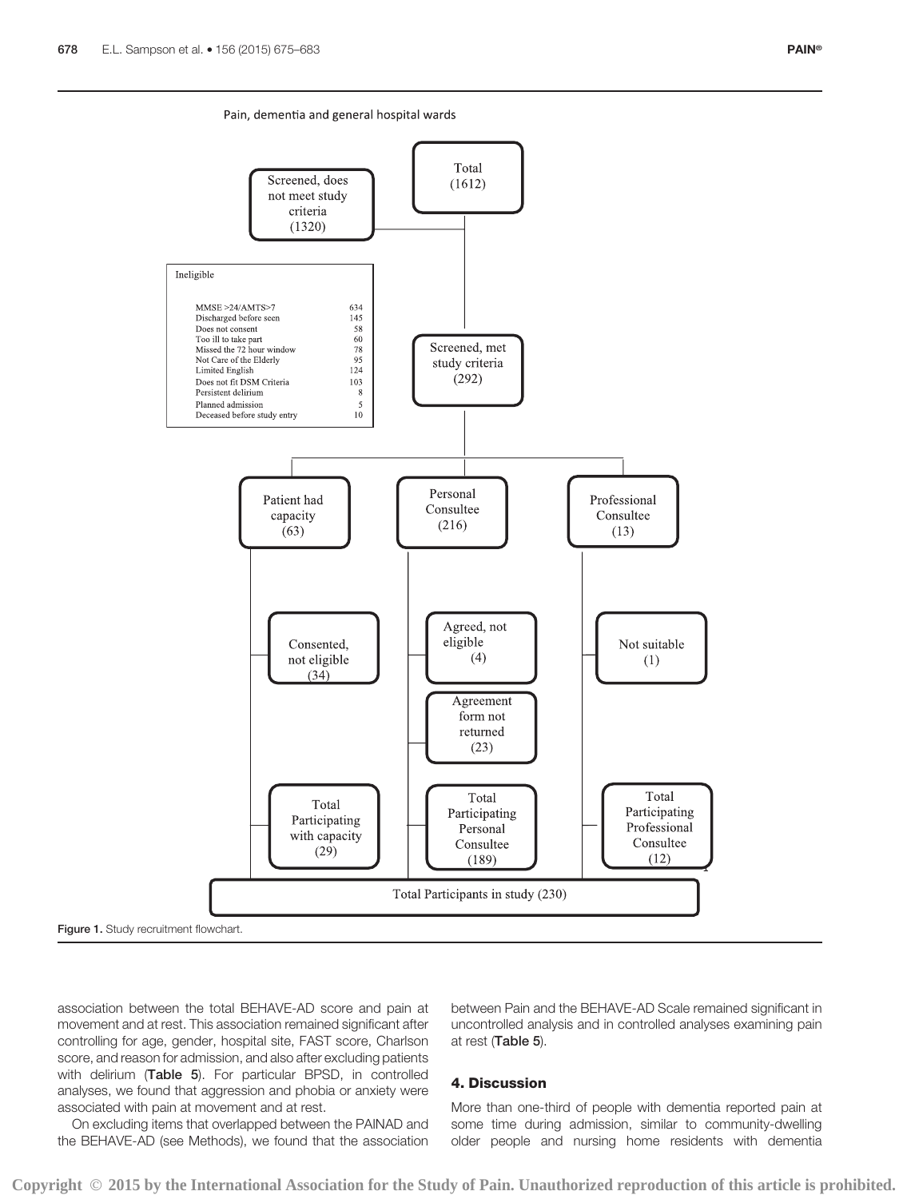Pain, dementia and general hospital wards



association between the total BEHAVE-AD score and pain at movement and at rest. This association remained significant after controlling for age, gender, hospital site, FAST score, Charlson score, and reason for admission, and also after excluding patients with delirium (Table 5). For particular BPSD, in controlled analyses, we found that aggression and phobia or anxiety were associated with pain at movement and at rest.

On excluding items that overlapped between the PAINAD and the BEHAVE-AD (see Methods), we found that the association

between Pain and the BEHAVE-AD Scale remained significant in uncontrolled analysis and in controlled analyses examining pain at rest (Table 5).

# 4. Discussion

More than one-third of people with dementia reported pain at some time during admission, similar to community-dwelling older people and nursing home residents with dementia

Copyright © 2015 by the International Association for the Study of Pain. Unauthorized reproduction of this article is prohibited.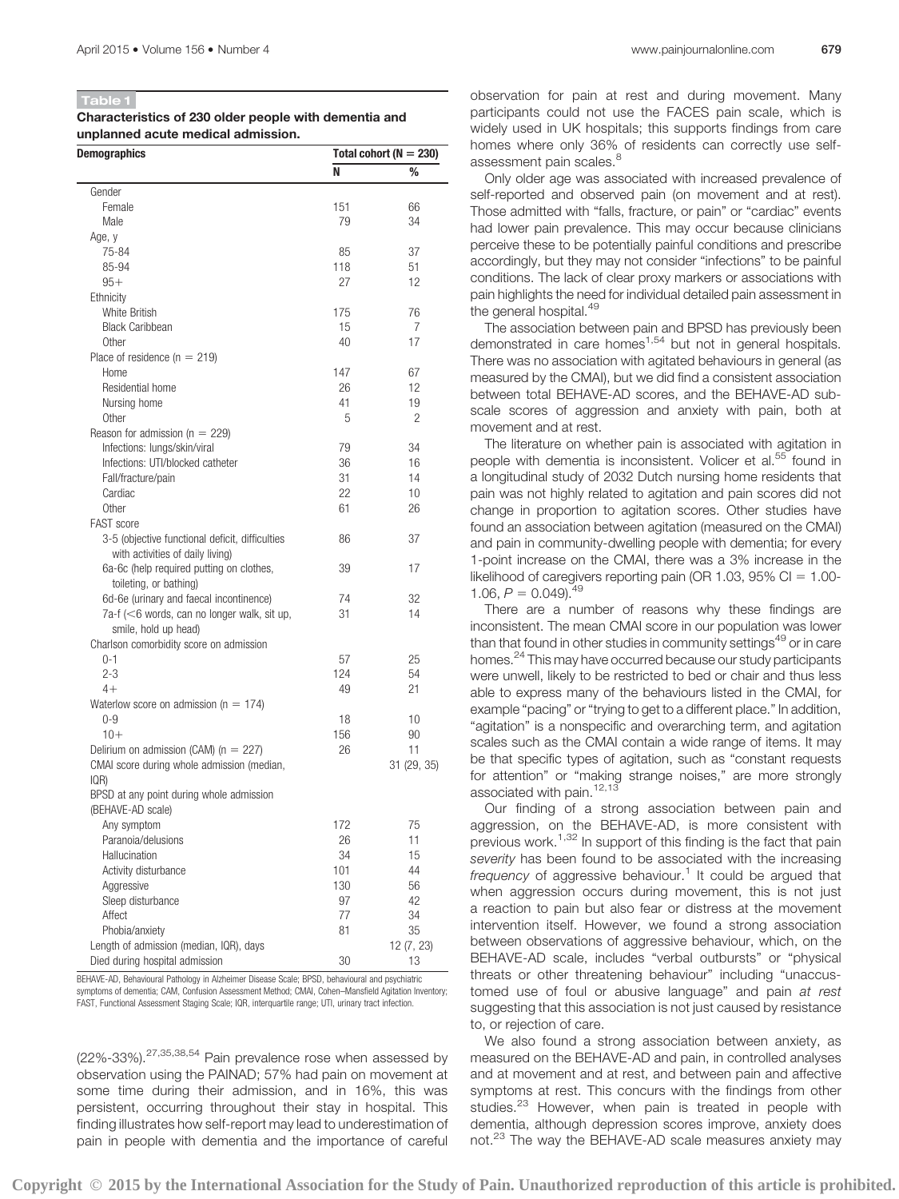# Table 1

Characteristics of 230 older people with dementia and unplanned acute medical admission.

| N<br>℅<br>Gender<br>Female<br>151<br>66<br>79<br>34<br>Male<br>Age, y<br>75-84<br>85<br>37<br>118<br>51<br>85-94<br>12<br>$95+$<br>27<br>Ethnicity<br>White British<br>175<br>76<br><b>Black Caribbean</b><br>15<br>7<br>40<br>17<br>Other<br>Place of residence ( $n = 219$ )<br>Home<br>147<br>67<br>Residential home<br>26<br>12<br>41<br>Nursing home<br>19<br>2<br>Other<br>5<br>Reason for admission ( $n = 229$ )<br>Infections: lungs/skin/viral<br>79<br>34<br>Infections: UTI/blocked catheter<br>36<br>16<br>31<br>Fall/fracture/pain<br>14<br>22<br>Cardiac<br>10<br>Other<br>61<br>26<br><b>FAST</b> score<br>3-5 (objective functional deficit, difficulties<br>86<br>37<br>with activities of daily living)<br>6a-6c (help required putting on clothes,<br>39<br>17<br>toileting, or bathing)<br>6d-6e (urinary and faecal incontinence)<br>74<br>32<br>7a-f (<6 words, can no longer walk, sit up,<br>31<br>14<br>smile, hold up head)<br>Charlson comorbidity score on admission<br>25<br>$0 - 1$<br>57<br>$2 - 3$<br>124<br>54<br>$4+$<br>49<br>21<br>Waterlow score on admission ( $n = 174$ )<br>$0 - 9$<br>18<br>10<br>$10 +$<br>156<br>90<br>26<br>Delirium on admission (CAM) ( $n = 227$ )<br>11<br>CMAI score during whole admission (median,<br>31 (29, 35)<br>IQR)<br>BPSD at any point during whole admission<br>(BEHAVE-AD scale)<br>Any symptom<br>172<br>75<br>Paranoia/delusions<br>26<br>11<br>Hallucination<br>34<br>15<br>44<br>Activity disturbance<br>101<br>130<br>56<br>Aggressive<br>Sleep disturbance<br>42<br>97<br>Affect<br>77<br>34<br>Phobia/anxiety<br>35<br>81<br>Length of admission (median, IQR), days<br>12 (7, 23)<br>Died during hospital admission<br>30<br>13 | <b>Demographics</b> | Total cohort ( $N = 230$ ) |  |  |  |  |  |
|-----------------------------------------------------------------------------------------------------------------------------------------------------------------------------------------------------------------------------------------------------------------------------------------------------------------------------------------------------------------------------------------------------------------------------------------------------------------------------------------------------------------------------------------------------------------------------------------------------------------------------------------------------------------------------------------------------------------------------------------------------------------------------------------------------------------------------------------------------------------------------------------------------------------------------------------------------------------------------------------------------------------------------------------------------------------------------------------------------------------------------------------------------------------------------------------------------------------------------------------------------------------------------------------------------------------------------------------------------------------------------------------------------------------------------------------------------------------------------------------------------------------------------------------------------------------------------------------------------------------------------------------------------------------------------------------------------------------------|---------------------|----------------------------|--|--|--|--|--|
|                                                                                                                                                                                                                                                                                                                                                                                                                                                                                                                                                                                                                                                                                                                                                                                                                                                                                                                                                                                                                                                                                                                                                                                                                                                                                                                                                                                                                                                                                                                                                                                                                                                                                                                       |                     |                            |  |  |  |  |  |
|                                                                                                                                                                                                                                                                                                                                                                                                                                                                                                                                                                                                                                                                                                                                                                                                                                                                                                                                                                                                                                                                                                                                                                                                                                                                                                                                                                                                                                                                                                                                                                                                                                                                                                                       |                     |                            |  |  |  |  |  |
|                                                                                                                                                                                                                                                                                                                                                                                                                                                                                                                                                                                                                                                                                                                                                                                                                                                                                                                                                                                                                                                                                                                                                                                                                                                                                                                                                                                                                                                                                                                                                                                                                                                                                                                       |                     |                            |  |  |  |  |  |
|                                                                                                                                                                                                                                                                                                                                                                                                                                                                                                                                                                                                                                                                                                                                                                                                                                                                                                                                                                                                                                                                                                                                                                                                                                                                                                                                                                                                                                                                                                                                                                                                                                                                                                                       |                     |                            |  |  |  |  |  |
|                                                                                                                                                                                                                                                                                                                                                                                                                                                                                                                                                                                                                                                                                                                                                                                                                                                                                                                                                                                                                                                                                                                                                                                                                                                                                                                                                                                                                                                                                                                                                                                                                                                                                                                       |                     |                            |  |  |  |  |  |
|                                                                                                                                                                                                                                                                                                                                                                                                                                                                                                                                                                                                                                                                                                                                                                                                                                                                                                                                                                                                                                                                                                                                                                                                                                                                                                                                                                                                                                                                                                                                                                                                                                                                                                                       |                     |                            |  |  |  |  |  |
|                                                                                                                                                                                                                                                                                                                                                                                                                                                                                                                                                                                                                                                                                                                                                                                                                                                                                                                                                                                                                                                                                                                                                                                                                                                                                                                                                                                                                                                                                                                                                                                                                                                                                                                       |                     |                            |  |  |  |  |  |
|                                                                                                                                                                                                                                                                                                                                                                                                                                                                                                                                                                                                                                                                                                                                                                                                                                                                                                                                                                                                                                                                                                                                                                                                                                                                                                                                                                                                                                                                                                                                                                                                                                                                                                                       |                     |                            |  |  |  |  |  |
|                                                                                                                                                                                                                                                                                                                                                                                                                                                                                                                                                                                                                                                                                                                                                                                                                                                                                                                                                                                                                                                                                                                                                                                                                                                                                                                                                                                                                                                                                                                                                                                                                                                                                                                       |                     |                            |  |  |  |  |  |
|                                                                                                                                                                                                                                                                                                                                                                                                                                                                                                                                                                                                                                                                                                                                                                                                                                                                                                                                                                                                                                                                                                                                                                                                                                                                                                                                                                                                                                                                                                                                                                                                                                                                                                                       |                     |                            |  |  |  |  |  |
|                                                                                                                                                                                                                                                                                                                                                                                                                                                                                                                                                                                                                                                                                                                                                                                                                                                                                                                                                                                                                                                                                                                                                                                                                                                                                                                                                                                                                                                                                                                                                                                                                                                                                                                       |                     |                            |  |  |  |  |  |
|                                                                                                                                                                                                                                                                                                                                                                                                                                                                                                                                                                                                                                                                                                                                                                                                                                                                                                                                                                                                                                                                                                                                                                                                                                                                                                                                                                                                                                                                                                                                                                                                                                                                                                                       |                     |                            |  |  |  |  |  |
|                                                                                                                                                                                                                                                                                                                                                                                                                                                                                                                                                                                                                                                                                                                                                                                                                                                                                                                                                                                                                                                                                                                                                                                                                                                                                                                                                                                                                                                                                                                                                                                                                                                                                                                       |                     |                            |  |  |  |  |  |
|                                                                                                                                                                                                                                                                                                                                                                                                                                                                                                                                                                                                                                                                                                                                                                                                                                                                                                                                                                                                                                                                                                                                                                                                                                                                                                                                                                                                                                                                                                                                                                                                                                                                                                                       |                     |                            |  |  |  |  |  |
|                                                                                                                                                                                                                                                                                                                                                                                                                                                                                                                                                                                                                                                                                                                                                                                                                                                                                                                                                                                                                                                                                                                                                                                                                                                                                                                                                                                                                                                                                                                                                                                                                                                                                                                       |                     |                            |  |  |  |  |  |
|                                                                                                                                                                                                                                                                                                                                                                                                                                                                                                                                                                                                                                                                                                                                                                                                                                                                                                                                                                                                                                                                                                                                                                                                                                                                                                                                                                                                                                                                                                                                                                                                                                                                                                                       |                     |                            |  |  |  |  |  |
|                                                                                                                                                                                                                                                                                                                                                                                                                                                                                                                                                                                                                                                                                                                                                                                                                                                                                                                                                                                                                                                                                                                                                                                                                                                                                                                                                                                                                                                                                                                                                                                                                                                                                                                       |                     |                            |  |  |  |  |  |
|                                                                                                                                                                                                                                                                                                                                                                                                                                                                                                                                                                                                                                                                                                                                                                                                                                                                                                                                                                                                                                                                                                                                                                                                                                                                                                                                                                                                                                                                                                                                                                                                                                                                                                                       |                     |                            |  |  |  |  |  |
|                                                                                                                                                                                                                                                                                                                                                                                                                                                                                                                                                                                                                                                                                                                                                                                                                                                                                                                                                                                                                                                                                                                                                                                                                                                                                                                                                                                                                                                                                                                                                                                                                                                                                                                       |                     |                            |  |  |  |  |  |
|                                                                                                                                                                                                                                                                                                                                                                                                                                                                                                                                                                                                                                                                                                                                                                                                                                                                                                                                                                                                                                                                                                                                                                                                                                                                                                                                                                                                                                                                                                                                                                                                                                                                                                                       |                     |                            |  |  |  |  |  |
|                                                                                                                                                                                                                                                                                                                                                                                                                                                                                                                                                                                                                                                                                                                                                                                                                                                                                                                                                                                                                                                                                                                                                                                                                                                                                                                                                                                                                                                                                                                                                                                                                                                                                                                       |                     |                            |  |  |  |  |  |
|                                                                                                                                                                                                                                                                                                                                                                                                                                                                                                                                                                                                                                                                                                                                                                                                                                                                                                                                                                                                                                                                                                                                                                                                                                                                                                                                                                                                                                                                                                                                                                                                                                                                                                                       |                     |                            |  |  |  |  |  |
|                                                                                                                                                                                                                                                                                                                                                                                                                                                                                                                                                                                                                                                                                                                                                                                                                                                                                                                                                                                                                                                                                                                                                                                                                                                                                                                                                                                                                                                                                                                                                                                                                                                                                                                       |                     |                            |  |  |  |  |  |
|                                                                                                                                                                                                                                                                                                                                                                                                                                                                                                                                                                                                                                                                                                                                                                                                                                                                                                                                                                                                                                                                                                                                                                                                                                                                                                                                                                                                                                                                                                                                                                                                                                                                                                                       |                     |                            |  |  |  |  |  |
|                                                                                                                                                                                                                                                                                                                                                                                                                                                                                                                                                                                                                                                                                                                                                                                                                                                                                                                                                                                                                                                                                                                                                                                                                                                                                                                                                                                                                                                                                                                                                                                                                                                                                                                       |                     |                            |  |  |  |  |  |
|                                                                                                                                                                                                                                                                                                                                                                                                                                                                                                                                                                                                                                                                                                                                                                                                                                                                                                                                                                                                                                                                                                                                                                                                                                                                                                                                                                                                                                                                                                                                                                                                                                                                                                                       |                     |                            |  |  |  |  |  |
|                                                                                                                                                                                                                                                                                                                                                                                                                                                                                                                                                                                                                                                                                                                                                                                                                                                                                                                                                                                                                                                                                                                                                                                                                                                                                                                                                                                                                                                                                                                                                                                                                                                                                                                       |                     |                            |  |  |  |  |  |
|                                                                                                                                                                                                                                                                                                                                                                                                                                                                                                                                                                                                                                                                                                                                                                                                                                                                                                                                                                                                                                                                                                                                                                                                                                                                                                                                                                                                                                                                                                                                                                                                                                                                                                                       |                     |                            |  |  |  |  |  |
|                                                                                                                                                                                                                                                                                                                                                                                                                                                                                                                                                                                                                                                                                                                                                                                                                                                                                                                                                                                                                                                                                                                                                                                                                                                                                                                                                                                                                                                                                                                                                                                                                                                                                                                       |                     |                            |  |  |  |  |  |
|                                                                                                                                                                                                                                                                                                                                                                                                                                                                                                                                                                                                                                                                                                                                                                                                                                                                                                                                                                                                                                                                                                                                                                                                                                                                                                                                                                                                                                                                                                                                                                                                                                                                                                                       |                     |                            |  |  |  |  |  |
|                                                                                                                                                                                                                                                                                                                                                                                                                                                                                                                                                                                                                                                                                                                                                                                                                                                                                                                                                                                                                                                                                                                                                                                                                                                                                                                                                                                                                                                                                                                                                                                                                                                                                                                       |                     |                            |  |  |  |  |  |
|                                                                                                                                                                                                                                                                                                                                                                                                                                                                                                                                                                                                                                                                                                                                                                                                                                                                                                                                                                                                                                                                                                                                                                                                                                                                                                                                                                                                                                                                                                                                                                                                                                                                                                                       |                     |                            |  |  |  |  |  |
|                                                                                                                                                                                                                                                                                                                                                                                                                                                                                                                                                                                                                                                                                                                                                                                                                                                                                                                                                                                                                                                                                                                                                                                                                                                                                                                                                                                                                                                                                                                                                                                                                                                                                                                       |                     |                            |  |  |  |  |  |
|                                                                                                                                                                                                                                                                                                                                                                                                                                                                                                                                                                                                                                                                                                                                                                                                                                                                                                                                                                                                                                                                                                                                                                                                                                                                                                                                                                                                                                                                                                                                                                                                                                                                                                                       |                     |                            |  |  |  |  |  |
|                                                                                                                                                                                                                                                                                                                                                                                                                                                                                                                                                                                                                                                                                                                                                                                                                                                                                                                                                                                                                                                                                                                                                                                                                                                                                                                                                                                                                                                                                                                                                                                                                                                                                                                       |                     |                            |  |  |  |  |  |
|                                                                                                                                                                                                                                                                                                                                                                                                                                                                                                                                                                                                                                                                                                                                                                                                                                                                                                                                                                                                                                                                                                                                                                                                                                                                                                                                                                                                                                                                                                                                                                                                                                                                                                                       |                     |                            |  |  |  |  |  |
|                                                                                                                                                                                                                                                                                                                                                                                                                                                                                                                                                                                                                                                                                                                                                                                                                                                                                                                                                                                                                                                                                                                                                                                                                                                                                                                                                                                                                                                                                                                                                                                                                                                                                                                       |                     |                            |  |  |  |  |  |
|                                                                                                                                                                                                                                                                                                                                                                                                                                                                                                                                                                                                                                                                                                                                                                                                                                                                                                                                                                                                                                                                                                                                                                                                                                                                                                                                                                                                                                                                                                                                                                                                                                                                                                                       |                     |                            |  |  |  |  |  |
|                                                                                                                                                                                                                                                                                                                                                                                                                                                                                                                                                                                                                                                                                                                                                                                                                                                                                                                                                                                                                                                                                                                                                                                                                                                                                                                                                                                                                                                                                                                                                                                                                                                                                                                       |                     |                            |  |  |  |  |  |
|                                                                                                                                                                                                                                                                                                                                                                                                                                                                                                                                                                                                                                                                                                                                                                                                                                                                                                                                                                                                                                                                                                                                                                                                                                                                                                                                                                                                                                                                                                                                                                                                                                                                                                                       |                     |                            |  |  |  |  |  |
|                                                                                                                                                                                                                                                                                                                                                                                                                                                                                                                                                                                                                                                                                                                                                                                                                                                                                                                                                                                                                                                                                                                                                                                                                                                                                                                                                                                                                                                                                                                                                                                                                                                                                                                       |                     |                            |  |  |  |  |  |
|                                                                                                                                                                                                                                                                                                                                                                                                                                                                                                                                                                                                                                                                                                                                                                                                                                                                                                                                                                                                                                                                                                                                                                                                                                                                                                                                                                                                                                                                                                                                                                                                                                                                                                                       |                     |                            |  |  |  |  |  |
|                                                                                                                                                                                                                                                                                                                                                                                                                                                                                                                                                                                                                                                                                                                                                                                                                                                                                                                                                                                                                                                                                                                                                                                                                                                                                                                                                                                                                                                                                                                                                                                                                                                                                                                       |                     |                            |  |  |  |  |  |
|                                                                                                                                                                                                                                                                                                                                                                                                                                                                                                                                                                                                                                                                                                                                                                                                                                                                                                                                                                                                                                                                                                                                                                                                                                                                                                                                                                                                                                                                                                                                                                                                                                                                                                                       |                     |                            |  |  |  |  |  |
|                                                                                                                                                                                                                                                                                                                                                                                                                                                                                                                                                                                                                                                                                                                                                                                                                                                                                                                                                                                                                                                                                                                                                                                                                                                                                                                                                                                                                                                                                                                                                                                                                                                                                                                       |                     |                            |  |  |  |  |  |
|                                                                                                                                                                                                                                                                                                                                                                                                                                                                                                                                                                                                                                                                                                                                                                                                                                                                                                                                                                                                                                                                                                                                                                                                                                                                                                                                                                                                                                                                                                                                                                                                                                                                                                                       |                     |                            |  |  |  |  |  |
|                                                                                                                                                                                                                                                                                                                                                                                                                                                                                                                                                                                                                                                                                                                                                                                                                                                                                                                                                                                                                                                                                                                                                                                                                                                                                                                                                                                                                                                                                                                                                                                                                                                                                                                       |                     |                            |  |  |  |  |  |
|                                                                                                                                                                                                                                                                                                                                                                                                                                                                                                                                                                                                                                                                                                                                                                                                                                                                                                                                                                                                                                                                                                                                                                                                                                                                                                                                                                                                                                                                                                                                                                                                                                                                                                                       |                     |                            |  |  |  |  |  |
|                                                                                                                                                                                                                                                                                                                                                                                                                                                                                                                                                                                                                                                                                                                                                                                                                                                                                                                                                                                                                                                                                                                                                                                                                                                                                                                                                                                                                                                                                                                                                                                                                                                                                                                       |                     |                            |  |  |  |  |  |
|                                                                                                                                                                                                                                                                                                                                                                                                                                                                                                                                                                                                                                                                                                                                                                                                                                                                                                                                                                                                                                                                                                                                                                                                                                                                                                                                                                                                                                                                                                                                                                                                                                                                                                                       |                     |                            |  |  |  |  |  |
|                                                                                                                                                                                                                                                                                                                                                                                                                                                                                                                                                                                                                                                                                                                                                                                                                                                                                                                                                                                                                                                                                                                                                                                                                                                                                                                                                                                                                                                                                                                                                                                                                                                                                                                       |                     |                            |  |  |  |  |  |
|                                                                                                                                                                                                                                                                                                                                                                                                                                                                                                                                                                                                                                                                                                                                                                                                                                                                                                                                                                                                                                                                                                                                                                                                                                                                                                                                                                                                                                                                                                                                                                                                                                                                                                                       |                     |                            |  |  |  |  |  |
|                                                                                                                                                                                                                                                                                                                                                                                                                                                                                                                                                                                                                                                                                                                                                                                                                                                                                                                                                                                                                                                                                                                                                                                                                                                                                                                                                                                                                                                                                                                                                                                                                                                                                                                       |                     |                            |  |  |  |  |  |

BEHAVE-AD, Behavioural Pathology in Alzheimer Disease Scale; BPSD, behavioural and psychiatric symptoms of dementia; CAM, Confusion Assessment Method; CMAI, Cohen–Mansfield Agitation Inventory; FAST, Functional Assessment Staging Scale; IQR, interquartile range; UTI, urinary tract infection.

(22%-33%).<sup>27,35,38,54</sup> Pain prevalence rose when assessed by observation using the PAINAD; 57% had pain on movement at some time during their admission, and in 16%, this was persistent, occurring throughout their stay in hospital. This finding illustrates how self-report may lead to underestimation of pain in people with dementia and the importance of careful observation for pain at rest and during movement. Many participants could not use the FACES pain scale, which is widely used in UK hospitals; this supports findings from care homes where only 36% of residents can correctly use selfassessment pain scales.<sup>8</sup>

Only older age was associated with increased prevalence of self-reported and observed pain (on movement and at rest). Those admitted with "falls, fracture, or pain" or "cardiac" events had lower pain prevalence. This may occur because clinicians perceive these to be potentially painful conditions and prescribe accordingly, but they may not consider "infections" to be painful conditions. The lack of clear proxy markers or associations with pain highlights the need for individual detailed pain assessment in the general hospital.<sup>49</sup>

The association between pain and BPSD has previously been demonstrated in care homes<sup>1,54</sup> but not in general hospitals. There was no association with agitated behaviours in general (as measured by the CMAI), but we did find a consistent association between total BEHAVE-AD scores, and the BEHAVE-AD subscale scores of aggression and anxiety with pain, both at movement and at rest.

The literature on whether pain is associated with agitation in people with dementia is inconsistent. Volicer et al.<sup>55</sup> found in a longitudinal study of 2032 Dutch nursing home residents that pain was not highly related to agitation and pain scores did not change in proportion to agitation scores. Other studies have found an association between agitation (measured on the CMAI) and pain in community-dwelling people with dementia; for every 1-point increase on the CMAI, there was a 3% increase in the likelihood of caregivers reporting pain (OR 1.03,  $95\%$  CI = 1.00-1.06,  $P = 0.049$ .  $^{49}$ 

There are a number of reasons why these findings are inconsistent. The mean CMAI score in our population was lower than that found in other studies in community settings<sup>49</sup> or in care homes.<sup>24</sup> This may have occurred because our study participants were unwell, likely to be restricted to bed or chair and thus less able to express many of the behaviours listed in the CMAI, for example "pacing" or "trying to get to a different place." In addition, "agitation" is a nonspecific and overarching term, and agitation scales such as the CMAI contain a wide range of items. It may be that specific types of agitation, such as "constant requests for attention" or "making strange noises," are more strongly associated with pain.<sup>12,13</sup>

Our finding of a strong association between pain and aggression, on the BEHAVE-AD, is more consistent with previous work.<sup>1,32</sup> In support of this finding is the fact that pain severity has been found to be associated with the increasing frequency of aggressive behaviour.<sup>1</sup> It could be argued that when aggression occurs during movement, this is not just a reaction to pain but also fear or distress at the movement intervention itself. However, we found a strong association between observations of aggressive behaviour, which, on the BEHAVE-AD scale, includes "verbal outbursts" or "physical threats or other threatening behaviour" including "unaccustomed use of foul or abusive language" and pain at rest suggesting that this association is not just caused by resistance to, or rejection of care.

We also found a strong association between anxiety, as measured on the BEHAVE-AD and pain, in controlled analyses and at movement and at rest, and between pain and affective symptoms at rest. This concurs with the findings from other studies.<sup>23</sup> However, when pain is treated in people with dementia, although depression scores improve, anxiety does not.<sup>23</sup> The way the BEHAVE-AD scale measures anxiety may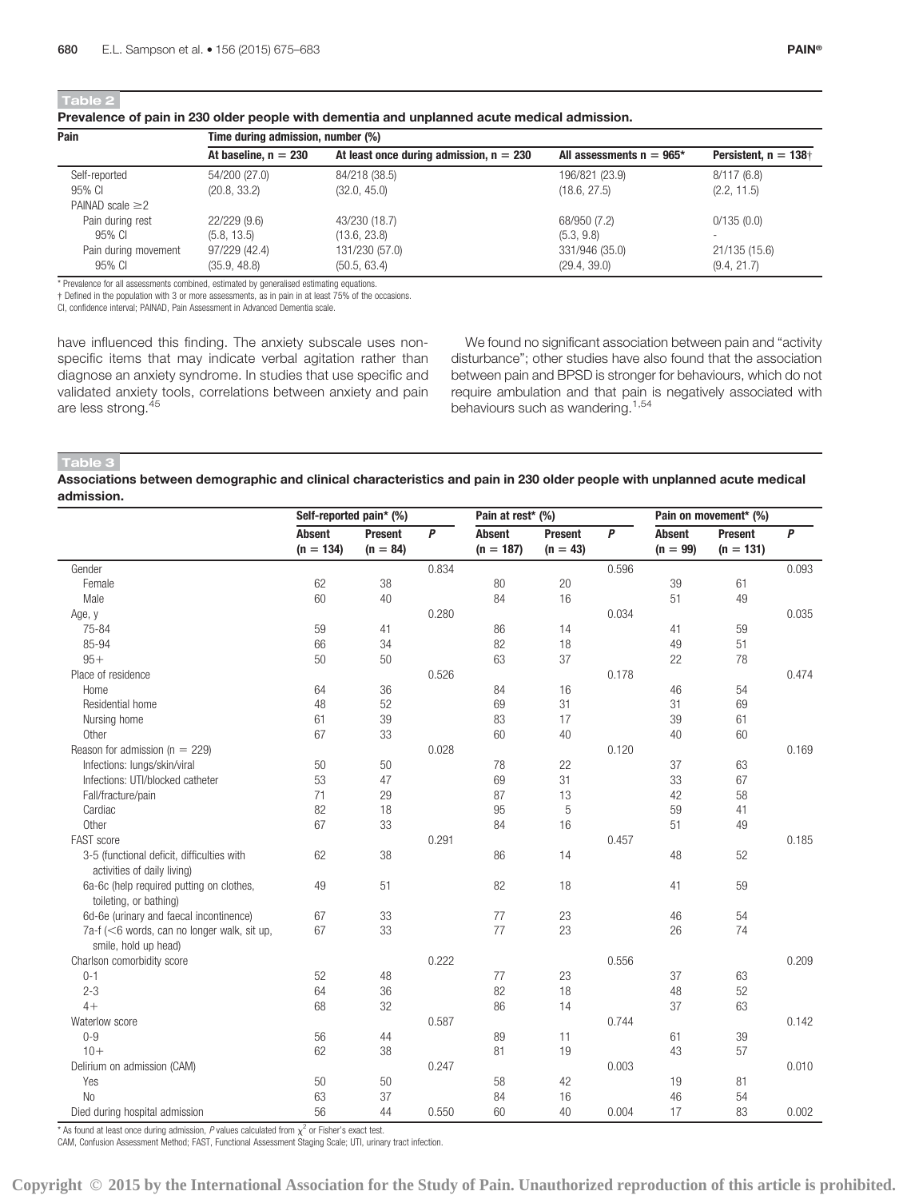| Pain                  | Time during admission, number (%) |                                           |                            |                         |  |  |  |  |  |  |
|-----------------------|-----------------------------------|-------------------------------------------|----------------------------|-------------------------|--|--|--|--|--|--|
|                       | At baseline, $n = 230$            | At least once during admission, $n = 230$ | All assessments $n = 965*$ | Persistent, $n = 138 +$ |  |  |  |  |  |  |
| Self-reported         | 54/200 (27.0)                     | 84/218 (38.5)                             | 196/821 (23.9)             | 8/117 (6.8)             |  |  |  |  |  |  |
| 95% CI                | (20.8, 33.2)                      | (32.0, 45.0)                              | (18.6, 27.5)               | (2.2, 11.5)             |  |  |  |  |  |  |
| PAINAD scale $\geq$ 2 |                                   |                                           |                            |                         |  |  |  |  |  |  |
| Pain during rest      | 22/229(9.6)                       | 43/230 (18.7)                             | 68/950 (7.2)               | 0/135(0.0)              |  |  |  |  |  |  |
| 95% CI                | (5.8, 13.5)                       | (13.6, 23.8)                              | (5.3, 9.8)                 | ٠                       |  |  |  |  |  |  |
| Pain during movement  | 97/229 (42.4)                     | 131/230 (57.0)                            | 331/946 (35.0)             | 21/135 (15.6)           |  |  |  |  |  |  |
| 95% CI                | (35.9, 48.8)                      | (50.5, 63.4)                              | (29.4, 39.0)               | (9.4, 21.7)             |  |  |  |  |  |  |

\* Prevalence for all assessments combined, estimated by generalised estimating equations.

† Defined in the population with 3 or more assessments, as in pain in at least 75% of the occasions.

CI, confidence interval; PAINAD, Pain Assessment in Advanced Dementia scale.

have influenced this finding. The anxiety subscale uses nonspecific items that may indicate verbal agitation rather than diagnose an anxiety syndrome. In studies that use specific and validated anxiety tools, correlations between anxiety and pain are less strong.<sup>45</sup>

We found no significant association between pain and "activity disturbance"; other studies have also found that the association between pain and BPSD is stronger for behaviours, which do not require ambulation and that pain is negatively associated with behaviours such as wandering.<sup>1,54</sup>

# Table 3

Table 2

# Associations between demographic and clinical characteristics and pain in 230 older people with unplanned acute medical admission.

|                                                                           | Self-reported pain* (%)      |                              |                  | Pain at rest* (%)            |                       |       | Pain on movement* (%)       |                               |                  |
|---------------------------------------------------------------------------|------------------------------|------------------------------|------------------|------------------------------|-----------------------|-------|-----------------------------|-------------------------------|------------------|
|                                                                           | <b>Absent</b><br>$(n = 134)$ | <b>Present</b><br>$(n = 84)$ | $\boldsymbol{P}$ | <b>Absent</b><br>$(n = 187)$ | Present<br>$(n = 43)$ | P     | <b>Absent</b><br>$(n = 99)$ | <b>Present</b><br>$(n = 131)$ | $\boldsymbol{P}$ |
| Gender                                                                    |                              |                              | 0.834            |                              |                       | 0.596 |                             |                               | 0.093            |
| Female                                                                    | 62                           | 38                           |                  | 80                           | 20                    |       | 39                          | 61                            |                  |
| Male                                                                      | 60                           | 40                           |                  | 84                           | 16                    |       | 51                          | 49                            |                  |
| Age, y                                                                    |                              |                              | 0.280            |                              |                       | 0.034 |                             |                               | 0.035            |
| 75-84                                                                     | 59                           | 41                           |                  | 86                           | 14                    |       | 41                          | 59                            |                  |
| 85-94                                                                     | 66                           | 34                           |                  | 82                           | 18                    |       | 49                          | 51                            |                  |
| $95 +$                                                                    | 50                           | 50                           |                  | 63                           | 37                    |       | 22                          | 78                            |                  |
| Place of residence                                                        |                              |                              | 0.526            |                              |                       | 0.178 |                             |                               | 0.474            |
| Home                                                                      | 64                           | 36                           |                  | 84                           | 16                    |       | 46                          | 54                            |                  |
| Residential home                                                          | 48                           | 52                           |                  | 69                           | 31                    |       | 31                          | 69                            |                  |
| Nursing home                                                              | 61                           | 39                           |                  | 83                           | 17                    |       | 39                          | 61                            |                  |
| Other                                                                     | 67                           | 33                           |                  | 60                           | 40                    |       | 40                          | 60                            |                  |
| Reason for admission ( $n = 229$ )                                        |                              |                              | 0.028            |                              |                       | 0.120 |                             |                               | 0.169            |
| Infections: lungs/skin/viral                                              | 50                           | 50                           |                  | 78                           | 22                    |       | 37                          | 63                            |                  |
| Infections: UTI/blocked catheter                                          | 53                           | 47                           |                  | 69                           | 31                    |       | 33                          | 67                            |                  |
| Fall/fracture/pain                                                        | 71                           | 29                           |                  | 87                           | 13                    |       | 42                          | 58                            |                  |
| Cardiac                                                                   | 82                           | 18                           |                  | 95                           | 5                     |       | 59                          | 41                            |                  |
| Other                                                                     | 67                           | 33                           |                  | 84                           | 16                    |       | 51                          | 49                            |                  |
| <b>FAST</b> score                                                         |                              |                              | 0.291            |                              |                       | 0.457 |                             |                               | 0.185            |
| 3-5 (functional deficit, difficulties with<br>activities of daily living) | 62                           | 38                           |                  | 86                           | 14                    |       | 48                          | 52                            |                  |
| 6a-6c (help required putting on clothes,<br>toileting, or bathing)        | 49                           | 51                           |                  | 82                           | 18                    |       | 41                          | 59                            |                  |
| 6d-6e (urinary and faecal incontinence)                                   | 67                           | 33                           |                  | 77                           | 23                    |       | 46                          | 54                            |                  |
| 7a-f (<6 words, can no longer walk, sit up,                               | 67                           | 33                           |                  | 77                           | 23                    |       | 26                          | 74                            |                  |
| smile, hold up head)                                                      |                              |                              |                  |                              |                       |       |                             |                               |                  |
| Charlson comorbidity score                                                |                              |                              | 0.222            |                              |                       | 0.556 |                             |                               | 0.209            |
| $0 - 1$                                                                   | 52                           | 48                           |                  | 77                           | 23                    |       | 37                          | 63                            |                  |
| $2 - 3$                                                                   | 64                           | 36                           |                  | 82                           | 18                    |       | 48                          | 52                            |                  |
| $4+$                                                                      | 68                           | 32                           |                  | 86                           | 14                    |       | 37                          | 63                            |                  |
| Waterlow score                                                            |                              |                              | 0.587            |                              |                       | 0.744 |                             |                               | 0.142            |
| $0 - 9$                                                                   | 56                           | 44                           |                  | 89                           | 11                    |       | 61                          | 39                            |                  |
| $10+$                                                                     | 62                           | 38                           |                  | 81                           | 19                    |       | 43                          | 57                            |                  |
| Delirium on admission (CAM)                                               |                              |                              | 0.247            |                              |                       | 0.003 |                             |                               | 0.010            |
| Yes                                                                       | 50                           | 50                           |                  | 58                           | 42                    |       | 19                          | 81                            |                  |
| N <sub>0</sub>                                                            | 63                           | 37                           |                  | 84                           | 16                    |       | 46                          | 54                            |                  |
| Died during hospital admission                                            | 56                           | 44                           | 0.550            | 60                           | 40                    | 0.004 | 17                          | 83                            | 0.002            |

\* As found at least once during admission, P values calculated from  $\chi^2$  or Fisher's exact test.

CAM, Confusion Assessment Method; FAST, Functional Assessment Staging Scale; UTI, urinary tract infection.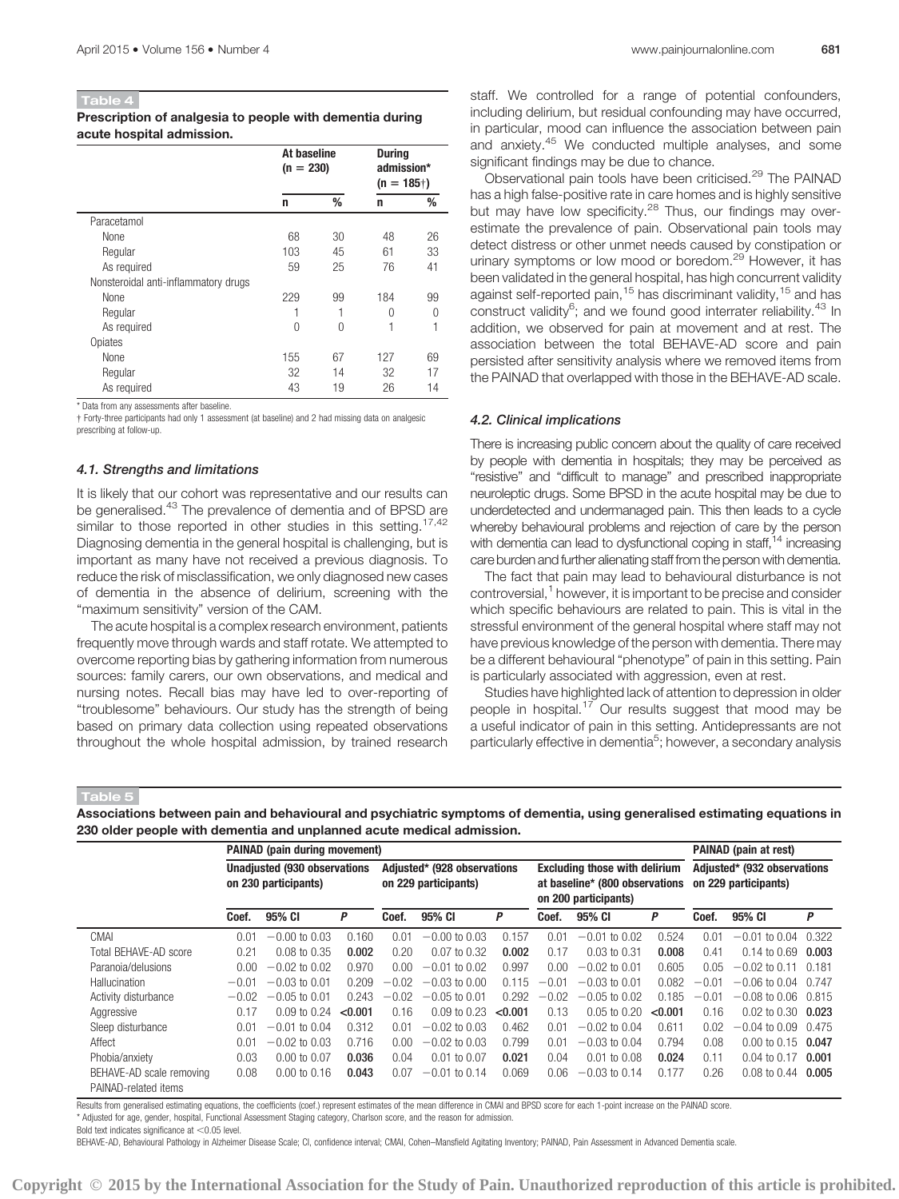#### Table 4

Prescription of analgesia to people with dementia during acute hospital admission.

|                                      | At baseline<br>$(n = 230)$ |          | <b>During</b><br>admission*<br>$(n = 185+)$ |          |  |
|--------------------------------------|----------------------------|----------|---------------------------------------------|----------|--|
|                                      | n                          | %        | n                                           | %        |  |
| Paracetamol                          |                            |          |                                             |          |  |
| None                                 | 68                         | 30       | 48                                          | 26       |  |
| Regular                              | 103                        | 45       | 61                                          | 33       |  |
| As required                          | 59                         | 25       | 76                                          | 41       |  |
| Nonsteroidal anti-inflammatory drugs |                            |          |                                             |          |  |
| None                                 | 229                        | 99       | 184                                         | 99       |  |
| Regular                              | 1                          | 1        | 0                                           | $\Omega$ |  |
| As required                          | 0                          | $\Omega$ | 1                                           | 1        |  |
| Opiates                              |                            |          |                                             |          |  |
| None                                 | 155                        | 67       | 127                                         | 69       |  |
| Regular                              | 32                         | 14       | 32                                          | 17       |  |
| As required                          | 43                         | 19       | 26                                          | 14       |  |

\* Data from any assessments after baseline.

† Forty-three participants had only 1 assessment (at baseline) and 2 had missing data on analgesic prescribing at follow-up.

#### 4.1. Strengths and limitations

It is likely that our cohort was representative and our results can be generalised.<sup>43</sup> The prevalence of dementia and of BPSD are similar to those reported in other studies in this setting.<sup>17,42</sup> Diagnosing dementia in the general hospital is challenging, but is important as many have not received a previous diagnosis. To reduce the risk of misclassification, we only diagnosed new cases of dementia in the absence of delirium, screening with the "maximum sensitivity" version of the CAM.

The acute hospital is a complex research environment, patients frequently move through wards and staff rotate. We attempted to overcome reporting bias by gathering information from numerous sources: family carers, our own observations, and medical and nursing notes. Recall bias may have led to over-reporting of "troublesome" behaviours. Our study has the strength of being based on primary data collection using repeated observations throughout the whole hospital admission, by trained research staff. We controlled for a range of potential confounders, including delirium, but residual confounding may have occurred, in particular, mood can influence the association between pain and anxiety.<sup>45</sup> We conducted multiple analyses, and some significant findings may be due to chance.

Observational pain tools have been criticised.<sup>29</sup> The PAINAD has a high false-positive rate in care homes and is highly sensitive but may have low specificity.<sup>28</sup> Thus, our findings may overestimate the prevalence of pain. Observational pain tools may detect distress or other unmet needs caused by constipation or urinary symptoms or low mood or boredom.<sup>29</sup> However, it has been validated in the general hospital, has high concurrent validity against self-reported pain,<sup>15</sup> has discriminant validity,<sup>15</sup> and has construct validity<sup>6</sup>; and we found good interrater reliability.<sup>43</sup> In addition, we observed for pain at movement and at rest. The association between the total BEHAVE-AD score and pain persisted after sensitivity analysis where we removed items from the PAINAD that overlapped with those in the BEHAVE-AD scale.

#### 4.2. Clinical implications

There is increasing public concern about the quality of care received by people with dementia in hospitals; they may be perceived as "resistive" and "difficult to manage" and prescribed inappropriate neuroleptic drugs. Some BPSD in the acute hospital may be due to underdetected and undermanaged pain. This then leads to a cycle whereby behavioural problems and rejection of care by the person with dementia can lead to dysfunctional coping in staff.<sup>14</sup> increasing care burden and further alienating staff from the person with dementia.

The fact that pain may lead to behavioural disturbance is not controversial,<sup>1</sup> however, it is important to be precise and consider which specific behaviours are related to pain. This is vital in the stressful environment of the general hospital where staff may not have previous knowledge of the person with dementia. There may be a different behavioural "phenotype" of pain in this setting. Pain is particularly associated with aggression, even at rest.

Studies have highlighted lack of attention to depression in older people in hospital.<sup>17</sup> Our results suggest that mood may be a useful indicator of pain in this setting. Antidepressants are not particularly effective in dementia<sup>5</sup>; however, a secondary analysis

# Table 5

Associations between pain and behavioural and psychiatric symptoms of dementia, using generalised estimating equations in 230 older people with dementia and unplanned acute medical admission.

|                          | <b>PAINAD</b> (pain during movement)                         |                  |         |                                                     |                      |         |                                                                                                |                  |         |                                                     | PAINAD (pain at rest)   |       |
|--------------------------|--------------------------------------------------------------|------------------|---------|-----------------------------------------------------|----------------------|---------|------------------------------------------------------------------------------------------------|------------------|---------|-----------------------------------------------------|-------------------------|-------|
|                          | <b>Unadjusted (930 observations)</b><br>on 230 participants) |                  |         | Adjusted* (928 observations<br>on 229 participants) |                      |         | <b>Excluding those with delirium</b><br>at baseline* (800 observations<br>on 200 participants) |                  |         | Adjusted* (932 observations<br>on 229 participants) |                         |       |
|                          | Coef.                                                        | 95% CI           | P       | Coef.                                               | 95% CI               | P       | Coef.                                                                                          | 95% CI           | Ρ       | Coef.                                               | 95% CI                  | P     |
| <b>CMAI</b>              | 0.01                                                         | $-0.00$ to 0.03  | 0.160   | 0.01                                                | $-0.00$ to 0.03      | 0.157   | 0.01                                                                                           | $-0.01$ to 0.02  | 0.524   | 0.01                                                | $-0.01$ to 0.04         | 0.322 |
| Total BEHAVE-AD score    | 0.21                                                         | $0.08$ to $0.35$ | 0.002   | 0.20                                                | 0.07 to 0.32         | 0.002   | 0.17                                                                                           | $0.03$ to $0.31$ | 0.008   | 0.41                                                | $0.14$ to $0.69$        | 0.003 |
| Paranoia/delusions       | 0.00                                                         | $-0.02$ to 0.02  | 0.970   | 0.00                                                | $-0.01$ to 0.02      | 0.997   | 0.00                                                                                           | $-0.02$ to 0.01  | 0.605   | 0.05                                                | $-0.02$ to 0.1          | 0.181 |
| Hallucination            | $-0.01$                                                      | $-0.03$ to 0.01  | 0.209   | $-0.02$                                             | $-0.03$ to $0.00$    | 0.115   | $-0.01$                                                                                        | $-0.03$ to 0.01  | 0.082   | $-0.01$                                             | $-0.06$ to 0.04         | 0.747 |
| Activity disturbance     | $-0.02$                                                      | $-0.05$ to 0.01  | 0.243   | $-0.02$                                             | $-0.05$ to 0.01      | 0.292   | $-0.02$                                                                                        | $-0.05$ to 0.02  | 0.185   | $-0.01$                                             | $-0.08$ to 0.06         | 0.815 |
| Aggressive               | 0.17                                                         | 0.09 to 0.24     | < 0.001 | 0.16                                                | $0.09$ to $0.23$     | < 0.001 | 0.13                                                                                           | $0.05$ to $0.20$ | < 0.001 | 0.16                                                | $0.02$ to $0.30$        | 0.023 |
| Sleep disturbance        | 0.01                                                         | $-0.01$ to 0.04  | 0.312   | 0.01                                                | $-0.02$ to 0.03      | 0.462   | 0.01                                                                                           | $-0.02$ to 0.04  | 0.611   | 0.02                                                | $-0.04$ to 0.09         | 0.475 |
| Affect                   | 0.01                                                         | $-0.02$ to 0.03  | 0.716   | 0.00                                                | $-0.02$ to 0.03      | 0.799   | 0.01                                                                                           | $-0.03$ to 0.04  | 0.794   | 0.08                                                | $0.00 \text{ to } 0.15$ | 0.047 |
| Phobia/anxiety           | 0.03                                                         | $0.00$ to $0.07$ | 0.036   | 0.04                                                | $0.01$ to $0.07$     | 0.021   | 0.04                                                                                           | $0.01$ to $0.08$ | 0.024   | 0.11                                                | 17<br>$0.04$ to $0.1$   | 0.001 |
| BEHAVE-AD scale removing | 0.08                                                         | $0.00$ to $0.16$ | 0.043   | 0.07                                                | $-0.01$<br>to $0.14$ | 0.069   | 0.06                                                                                           | $-0.03$ to 0.14  | 0.177   | 0.26                                                | $0.08$ to $0.44$        | 0.005 |
| PAINAD-related items     |                                                              |                  |         |                                                     |                      |         |                                                                                                |                  |         |                                                     |                         |       |

Results from generalised estimating equations, the coefficients (coef.) represent estimates of the mean difference in CMAI and BPSD score for each 1-point increase on the PAINAD score.

\* Adjusted for age, gender, hospital, Functional Assessment Staging category, Charlson score, and the reason for admission.

Bold text indicates significance at  $<$  0.05 level.

BEHAVE-AD, Behavioural Pathology in Alzheimer Disease Scale; CI, confidence interval; CMAI, Cohen–Mansfield Agitating Inventory; PAINAD, Pain Assessment in Advanced Dementia scale.

Copyright © 2015 by the International Association for the Study of Pain. Unauthorized reproduction of this article is prohibited.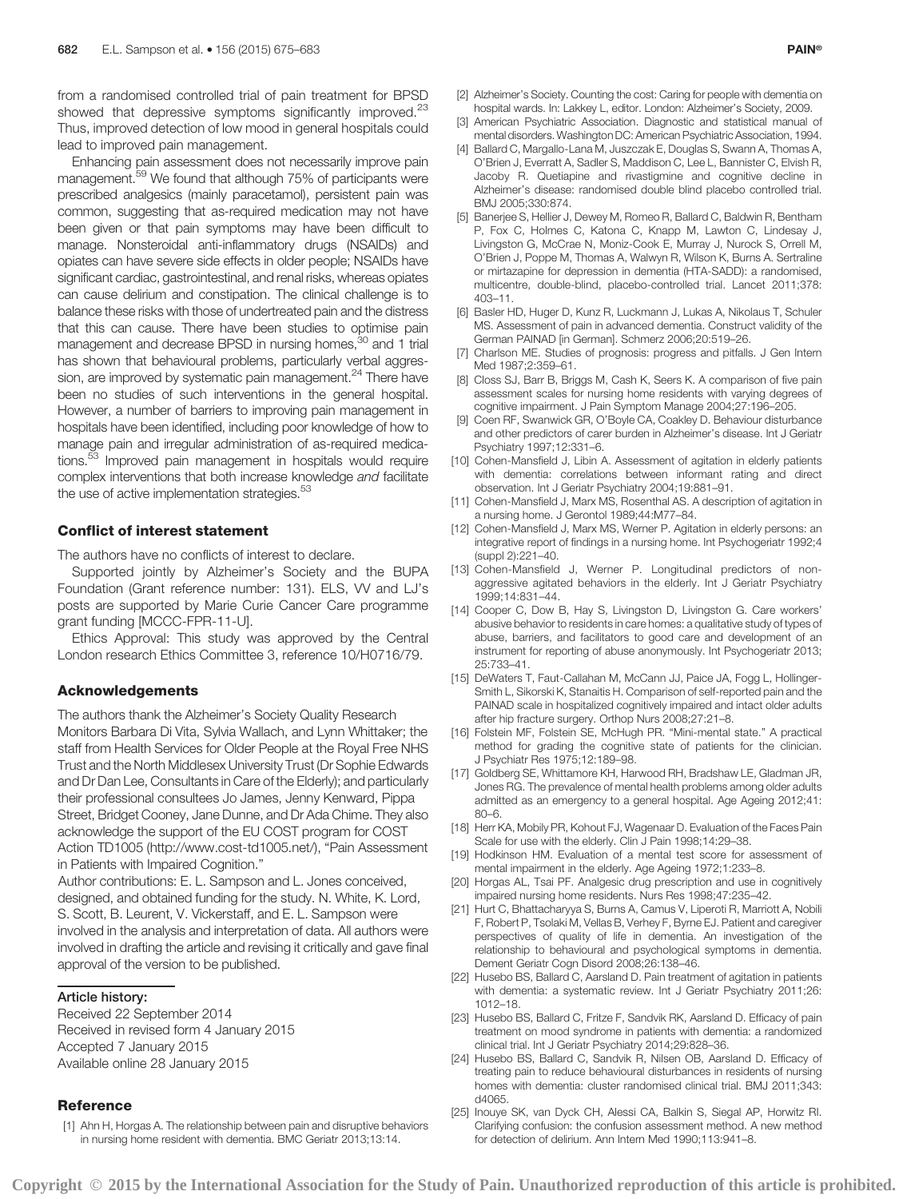from a randomised controlled trial of pain treatment for BPSD showed that depressive symptoms significantly improved.<sup>23</sup> Thus, improved detection of low mood in general hospitals could lead to improved pain management.

Enhancing pain assessment does not necessarily improve pain management.<sup>59</sup> We found that although 75% of participants were prescribed analgesics (mainly paracetamol), persistent pain was common, suggesting that as-required medication may not have been given or that pain symptoms may have been difficult to manage. Nonsteroidal anti-inflammatory drugs (NSAIDs) and opiates can have severe side effects in older people; NSAIDs have significant cardiac, gastrointestinal, and renal risks, whereas opiates can cause delirium and constipation. The clinical challenge is to balance these risks with those of undertreated pain and the distress that this can cause. There have been studies to optimise pain management and decrease BPSD in nursing homes,<sup>30</sup> and 1 trial has shown that behavioural problems, particularly verbal aggression, are improved by systematic pain management.<sup>24</sup> There have been no studies of such interventions in the general hospital. However, a number of barriers to improving pain management in hospitals have been identified, including poor knowledge of how to manage pain and irregular administration of as-required medications.<sup>53</sup> Improved pain management in hospitals would require complex interventions that both increase knowledge and facilitate the use of active implementation strategies.<sup>53</sup>

# Conflict of interest statement

The authors have no conflicts of interest to declare.

Supported jointly by Alzheimer's Society and the BUPA Foundation (Grant reference number: 131). ELS, VV and LJ's posts are supported by Marie Curie Cancer Care programme grant funding [MCCC-FPR-11-U].

Ethics Approval: This study was approved by the Central London research Ethics Committee 3, reference 10/H0716/79.

# Acknowledgements

The authors thank the Alzheimer's Society Quality Research Monitors Barbara Di Vita, Sylvia Wallach, and Lynn Whittaker; the staff from Health Services for Older People at the Royal Free NHS Trust and the North Middlesex University Trust (Dr Sophie Edwards and Dr Dan Lee, Consultants in Care of the Elderly); and particularly their professional consultees Jo James, Jenny Kenward, Pippa Street, Bridget Cooney, Jane Dunne, and Dr Ada Chime. They also acknowledge the support of the EU COST program for COST Action TD1005 (http://www.cost-td1005.net/), "Pain Assessment in Patients with Impaired Cognition."

Author contributions: E. L. Sampson and L. Jones conceived, designed, and obtained funding for the study. N. White, K. Lord, S. Scott, B. Leurent, V. Vickerstaff, and E. L. Sampson were involved in the analysis and interpretation of data. All authors were involved in drafting the article and revising it critically and gave final approval of the version to be published.

Article history: Received 22 September 2014 Received in revised form 4 January 2015 Accepted 7 January 2015 Available online 28 January 2015

# **Reference**

[1] Ahn H, Horgas A. The relationship between pain and disruptive behaviors in nursing home resident with dementia. BMC Geriatr 2013;13:14.

- [3] American Psychiatric Association. Diagnostic and statistical manual of mental disorders. Washington DC: American Psychiatric Association, 1994.
- [4] Ballard C, Margallo-Lana M, Juszczak E, Douglas S, Swann A, Thomas A, O'Brien J, Everratt A, Sadler S, Maddison C, Lee L, Bannister C, Elvish R, Jacoby R. Quetiapine and rivastigmine and cognitive decline in Alzheimer's disease: randomised double blind placebo controlled trial. BMJ 2005;330:874.
- [5] Banerjee S, Hellier J, Dewey M, Romeo R, Ballard C, Baldwin R, Bentham P, Fox C, Holmes C, Katona C, Knapp M, Lawton C, Lindesay J, Livingston G, McCrae N, Moniz-Cook E, Murray J, Nurock S, Orrell M, O'Brien J, Poppe M, Thomas A, Walwyn R, Wilson K, Burns A. Sertraline or mirtazapine for depression in dementia (HTA-SADD): a randomised, multicentre, double-blind, placebo-controlled trial. Lancet 2011;378: 403–11.
- [6] Basler HD, Huger D, Kunz R, Luckmann J, Lukas A, Nikolaus T, Schuler MS. Assessment of pain in advanced dementia. Construct validity of the German PAINAD [in German]. Schmerz 2006;20:519–26.
- [7] Charlson ME. Studies of prognosis: progress and pitfalls. J Gen Intern Med 1987;2:359–61.
- [8] Closs SJ, Barr B, Briggs M, Cash K, Seers K. A comparison of five pain assessment scales for nursing home residents with varying degrees of cognitive impairment. J Pain Symptom Manage 2004;27:196–205.
- [9] Coen RF, Swanwick GR, O'Boyle CA, Coakley D. Behaviour disturbance and other predictors of carer burden in Alzheimer's disease. Int J Geriatr Psychiatry 1997;12:331–6.
- [10] Cohen-Mansfield J, Libin A. Assessment of agitation in elderly patients with dementia: correlations between informant rating and direct observation. Int J Geriatr Psychiatry 2004;19:881–91.
- [11] Cohen-Mansfield J, Marx MS, Rosenthal AS. A description of agitation in a nursing home. J Gerontol 1989;44:M77–84.
- [12] Cohen-Mansfield J, Marx MS, Werner P. Agitation in elderly persons: an integrative report of findings in a nursing home. Int Psychogeriatr 1992;4 (suppl 2):221–40.
- [13] Cohen-Mansfield J, Werner P. Longitudinal predictors of nonaggressive agitated behaviors in the elderly. Int J Geriatr Psychiatry 1999;14:831–44.
- [14] Cooper C, Dow B, Hay S, Livingston D, Livingston G. Care workers' abusive behavior to residents in care homes: a qualitative study of types of abuse, barriers, and facilitators to good care and development of an instrument for reporting of abuse anonymously. Int Psychogeriatr 2013; 25:733–41.
- [15] DeWaters T, Faut-Callahan M, McCann JJ, Paice JA, Fogg L, Hollinger-Smith L, Sikorski K, Stanaitis H. Comparison of self-reported pain and the PAINAD scale in hospitalized cognitively impaired and intact older adults after hip fracture surgery. Orthop Nurs 2008;27:21–8.
- [16] Folstein MF, Folstein SE, McHugh PR. "Mini-mental state." A practical method for grading the cognitive state of patients for the clinician. J Psychiatr Res 1975;12:189–98.
- [17] Goldberg SE, Whittamore KH, Harwood RH, Bradshaw LE, Gladman JR, Jones RG. The prevalence of mental health problems among older adults admitted as an emergency to a general hospital. Age Ageing 2012;41: 80–6.
- [18] Herr KA, Mobily PR, Kohout FJ, Wagenaar D. Evaluation of the Faces Pain Scale for use with the elderly. Clin J Pain 1998;14:29–38.
- [19] Hodkinson HM. Evaluation of a mental test score for assessment of mental impairment in the elderly. Age Ageing 1972;1:233–8.
- [20] Horgas AL, Tsai PF. Analgesic drug prescription and use in cognitively impaired nursing home residents. Nurs Res 1998;47:235–42.
- [21] Hurt C, Bhattacharyya S, Burns A, Camus V, Liperoti R, Marriott A, Nobili F, Robert P, Tsolaki M, Vellas B, Verhey F, Byrne EJ. Patient and caregiver perspectives of quality of life in dementia. An investigation of the relationship to behavioural and psychological symptoms in dementia. Dement Geriatr Cogn Disord 2008;26:138–46.
- [22] Husebo BS, Ballard C, Aarsland D. Pain treatment of agitation in patients with dementia: a systematic review. Int J Geriatr Psychiatry 2011;26: 1012–18.
- [23] Husebo BS, Ballard C, Fritze F, Sandvik RK, Aarsland D. Efficacy of pain treatment on mood syndrome in patients with dementia: a randomized clinical trial. Int J Geriatr Psychiatry 2014;29:828–36.
- [24] Husebo BS, Ballard C, Sandvik R, Nilsen OB, Aarsland D. Efficacy of treating pain to reduce behavioural disturbances in residents of nursing homes with dementia: cluster randomised clinical trial. BMJ 2011;343: d4065.
- [25] Inouye SK, van Dyck CH, Alessi CA, Balkin S, Siegal AP, Horwitz RI. Clarifying confusion: the confusion assessment method. A new method for detection of delirium. Ann Intern Med 1990;113:941–8.